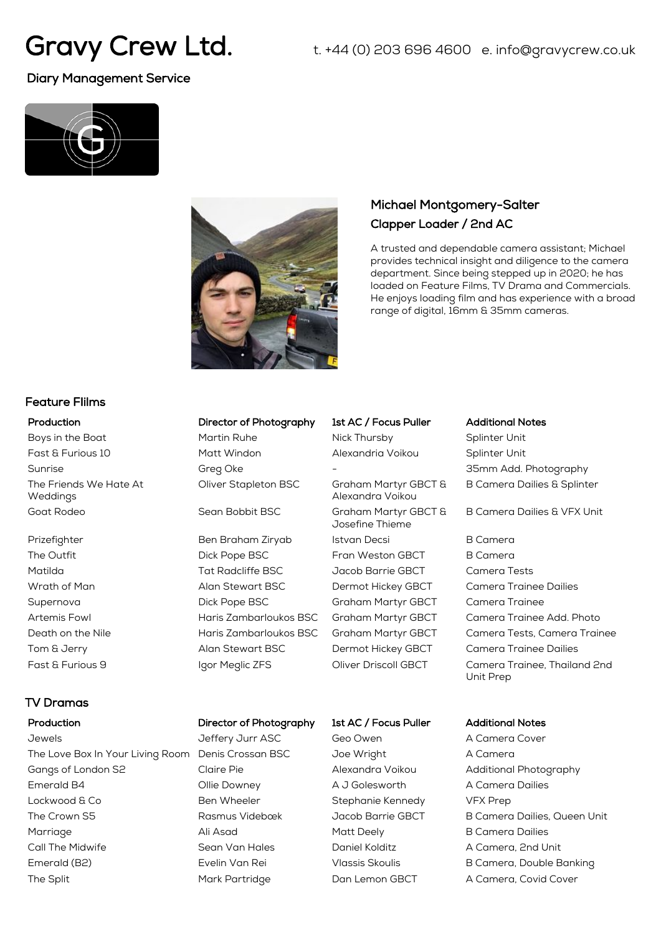# Gravy Crew Ltd.

t. +44 (0) 203 696 4600 e. info@gravycrew.co.uk

# Diary Management Service





# Michael Montgomery-Salter Clapper Loader / 2nd AC

A trusted and dependable camera assistant; Michael provides technical insight and diligence to the camera department. Since being stepped up in 2020; he has loaded on Feature Films, TV Drama and Commercials. He enjoys loading film and has experience with a broad range of digital, 16mm & 35mm cameras.

### Feature FIilms

Boys in the Boat **Martin Ruhe** Nick Thursby Splinter Unit Fast & Furious 10 Matt Windon Alexandria Voikou Splinter Unit The Friends We Hate At Weddings Goat Rodeo Sean Bobbit BSC Graham Martyr GBCT &

### TV Dramas

Jewels Jeffery Jurr ASC Geo Owen A Camera Cover The Love Box In Your Living Room Denis Crossan BSC Joe Wright A Camera Gangs of London S2 Claire Pie Alexandra Voikou Additional Photography Emerald B4 Ollie Downey A J Golesworth A Camera Dailies Lockwood & Co **Ben Wheeler** Stephanie Kennedy **Stephanie Kennedy** VFX Prep The Crown S5 **Rasmus Videbœk** Jacob Barrie GBCT B Camera Dailies, Queen Unit Marriage **Ali Asad Matt Deely** B Camera Dailies **Ali Asad** Matt Deely B Camera Dailies Call The Midwife Sean Van Hales Daniel Kolditz A Camera, 2nd Unit Emerald (B2) **Exelin Van Rei** Vlassis Skoulis B Camera, Double Banking B Camera, Double Banking The Split **Mark Partridge** Dan Lemon GBCT A Camera, Covid Cover

Oliver Stapleton BSC Graham Martyr GBCT &

The Outfit The Outfit Controller Dick Pope BSC Fran Weston GBCT B Camera Matilda Tat Radcliffe BSC Jacob Barrie GBCT Camera Tests Wrath of Man **Alan Stewart BSC** Dermot Hickey GBCT Camera Trainee Dailies Supernova Dick Pope BSC Graham Martyr GBCT Camera Trainee Tom & Jerry Alan Stewart BSC Dermot Hickey GBCT Camera Trainee Dailies

# Production **Director of Photography** 1st AC / Focus Puller Additional Notes

Alexandra Voikou Josefine Thieme Prizefighter **Ben Braham Ziryab** Istvan Decsi B Camera

Sunrise Sunrise Sunrise Server Greg Oke 5 and 25 and 35mm Add. Photography B Camera Dailies & Splinter

B Camera Dailies & VFX Unit

- Artemis Fowl Haris Zambarloukos BSC Graham Martyr GBCT Camera Trainee Add. Photo Death on the Nile **Haris Zambarloukos BSC** Graham Martyr GBCT Camera Tests, Camera Trainee Fast & Furious 9 Igor Meglic ZFS Oliver Driscoll GBCT Camera Trainee, Thailand 2nd Unit Prep
- Production **Director of Photography** 1st AC / Focus Puller Additional Notes